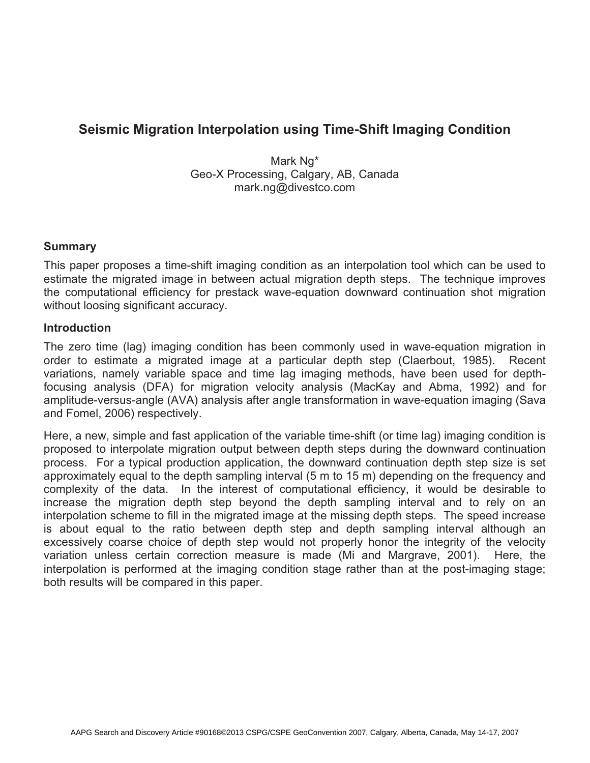# **Seismic Migration Interpolation using Time-Shift Imaging Condition**

Mark Ng\* Geo-X Processing, Calgary, AB, Canada mark.ng@divestco.com

#### **Summary**

This paper proposes a time-shift imaging condition as an interpolation tool which can be used to estimate the migrated image in between actual migration depth steps. The technique improves the computational efficiency for prestack wave-equation downward continuation shot migration without loosing significant accuracy.

#### **Introduction**

The zero time (lag) imaging condition has been commonly used in wave-equation migration in order to estimate a migrated image at a particular depth step (Claerbout, 1985). Recent variations, namely variable space and time lag imaging methods, have been used for depthfocusing analysis (DFA) for migration velocity analysis (MacKay and Abma, 1992) and for amplitude-versus-angle (AVA) analysis after angle transformation in wave-equation imaging (Sava and Fomel, 2006) respectively.

Here, a new, simple and fast application of the variable time-shift (or time lag) imaging condition is proposed to interpolate migration output between depth steps during the downward continuation process. For a typical production application, the downward continuation depth step size is set approximately equal to the depth sampling interval (5 m to 15 m) depending on the frequency and complexity of the data. In the interest of computational efficiency, it would be desirable to increase the migration depth step beyond the depth sampling interval and to rely on an interpolation scheme to fill in the migrated image at the missing depth steps. The speed increase is about equal to the ratio between depth step and depth sampling interval although an excessively coarse choice of depth step would not properly honor the integrity of the velocity variation unless certain correction measure is made (Mi and Margrave, 2001). Here, the interpolation is performed at the imaging condition stage rather than at the post-imaging stage; both results will be compared in this paper.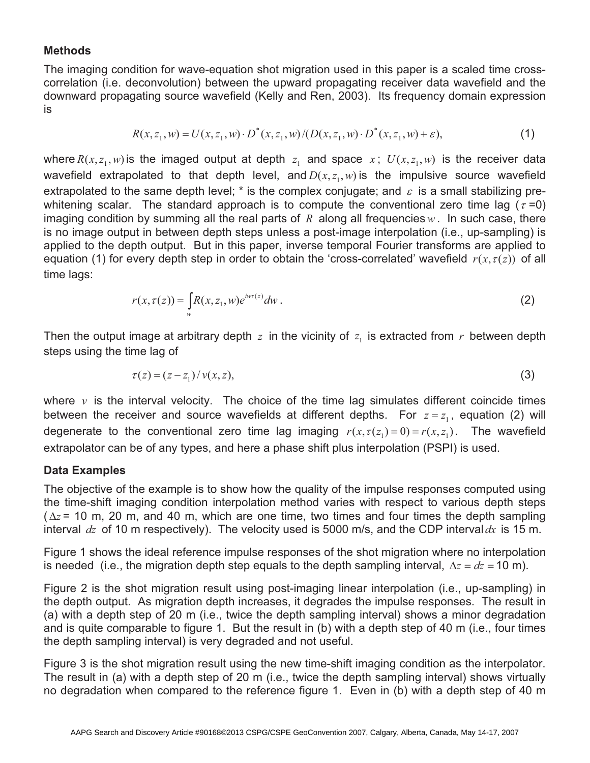## **Methods**

The imaging condition for wave-equation shot migration used in this paper is a scaled time crosscorrelation (i.e. deconvolution) between the upward propagating receiver data wavefield and the downward propagating source wavefield (Kelly and Ren, 2003). Its frequency domain expression is

$$
R(x, z_1, w) = U(x, z_1, w) \cdot D^*(x, z_1, w) / (D(x, z_1, w) \cdot D^*(x, z_1, w) + \varepsilon),
$$
\n<sup>(1)</sup>

where  $R(x, z_1, w)$  is the imaged output at depth  $z_1$  and space  $x$ ;  $U(x, z_1, w)$  is the receiver data wavefield extrapolated to that depth level, and  $D(x, z_1, w)$  is the impulsive source wavefield extrapolated to the same depth level;  $^*$  is the complex conjugate; and  $\,\varepsilon\,$  is a small stabilizing prewhitening scalar. The standard approach is to compute the conventional zero time lag ( $\tau$ =0) imaging condition by summing all the real parts of  $R$  along all frequencies  $w$ . In such case, there is no image output in between depth steps unless a post-image interpolation (i.e., up-sampling) is applied to the depth output. But in this paper, inverse temporal Fourier transforms are applied to equation (1) for every depth step in order to obtain the 'cross-correlated' wavefield  $r(x, \tau(z))$  of all time lags:

$$
r(x,\tau(z)) = \int_{w} R(x,z_1,w)e^{i\omega\tau(z)}dw.
$$
 (2)

Then the output image at arbitrary depth  $z$  in the vicinity of  $z<sub>1</sub>$  is extracted from  $r$  between depth steps using the time lag of

$$
\tau(z) = (z - z_1) / \nu(x, z),
$$
\n(3)

where *v* is the interval velocity. The choice of the time lag simulates different coincide times between the receiver and source wavefields at different depths. For  $z = z<sub>1</sub>$ , equation (2) will degenerate to the conventional zero time lag imaging  $r(x, \tau(z_1) = 0) = r(x, z_1)$ . The wavefield extrapolator can be of any types, and here a phase shift plus interpolation (PSPI) is used.

#### **Data Examples**

The objective of the example is to show how the quality of the impulse responses computed using the time-shift imaging condition interpolation method varies with respect to various depth steps ( $\Delta z$  = 10 m, 20 m, and 40 m, which are one time, two times and four times the depth sampling interval *dz* of 10 m respectively). The velocity used is 5000 m/s, and the CDP interval *dx* is 15 m.

Figure 1 shows the ideal reference impulse responses of the shot migration where no interpolation is needed (i.e., the migration depth step equals to the depth sampling interval,  $\Delta z = dz = 10$  m).

Figure 2 is the shot migration result using post-imaging linear interpolation (i.e., up-sampling) in the depth output. As migration depth increases, it degrades the impulse responses. The result in (a) with a depth step of 20 m (i.e., twice the depth sampling interval) shows a minor degradation and is quite comparable to figure 1. But the result in (b) with a depth step of 40 m (i.e., four times the depth sampling interval) is very degraded and not useful.

Figure 3 is the shot migration result using the new time-shift imaging condition as the interpolator. The result in (a) with a depth step of 20 m (i.e., twice the depth sampling interval) shows virtually no degradation when compared to the reference figure 1. Even in (b) with a depth step of 40 m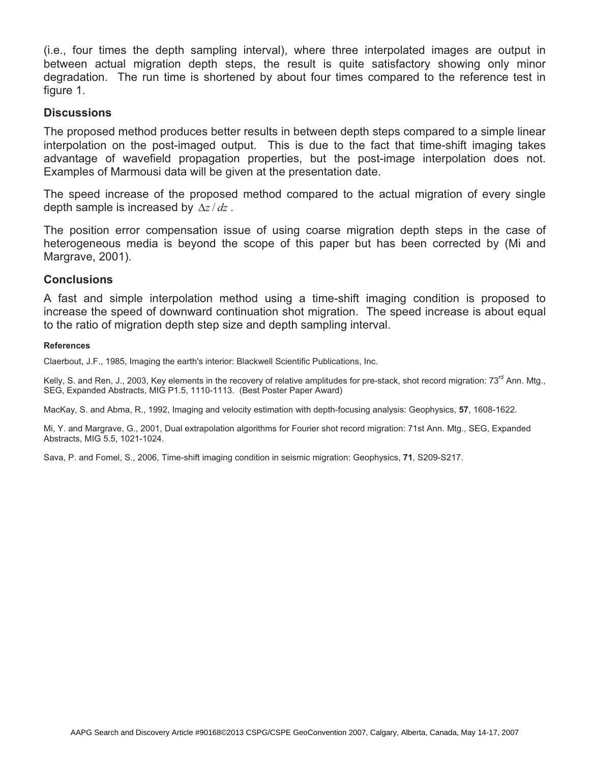(i.e., four times the depth sampling interval), where three interpolated images are output in between actual migration depth steps, the result is quite satisfactory showing only minor degradation. The run time is shortened by about four times compared to the reference test in figure 1.

#### **Discussions**

The proposed method produces better results in between depth steps compared to a simple linear interpolation on the post-imaged output. This is due to the fact that time-shift imaging takes advantage of wavefield propagation properties, but the post-image interpolation does not. Examples of Marmousi data will be given at the presentation date.

The speed increase of the proposed method compared to the actual migration of every single depth sample is increased by  $\Delta z / dz$ .

The position error compensation issue of using coarse migration depth steps in the case of heterogeneous media is beyond the scope of this paper but has been corrected by (Mi and Margrave, 2001).

### **Conclusions**

A fast and simple interpolation method using a time-shift imaging condition is proposed to increase the speed of downward continuation shot migration. The speed increase is about equal to the ratio of migration depth step size and depth sampling interval.

#### **References**

Claerbout, J.F., 1985, Imaging the earth's interior: Blackwell Scientific Publications, Inc.

Kelly, S. and Ren, J., 2003, Key elements in the recovery of relative amplitudes for pre-stack, shot record migration: 73<sup>rd</sup> Ann. Mtg., SEG, Expanded Abstracts, MIG P1.5, 1110-1113. (Best Poster Paper Award)

MacKay, S. and Abma, R., 1992, Imaging and velocity estimation with depth-focusing analysis: Geophysics, **57**, 1608-1622.

Mi, Y. and Margrave, G., 2001, Dual extrapolation algorithms for Fourier shot record migration: 71st Ann. Mtg., SEG, Expanded Abstracts, MIG 5.5, 1021-1024.

Sava, P. and Fomel, S., 2006, Time-shift imaging condition in seismic migration: Geophysics, **71**, S209-S217.